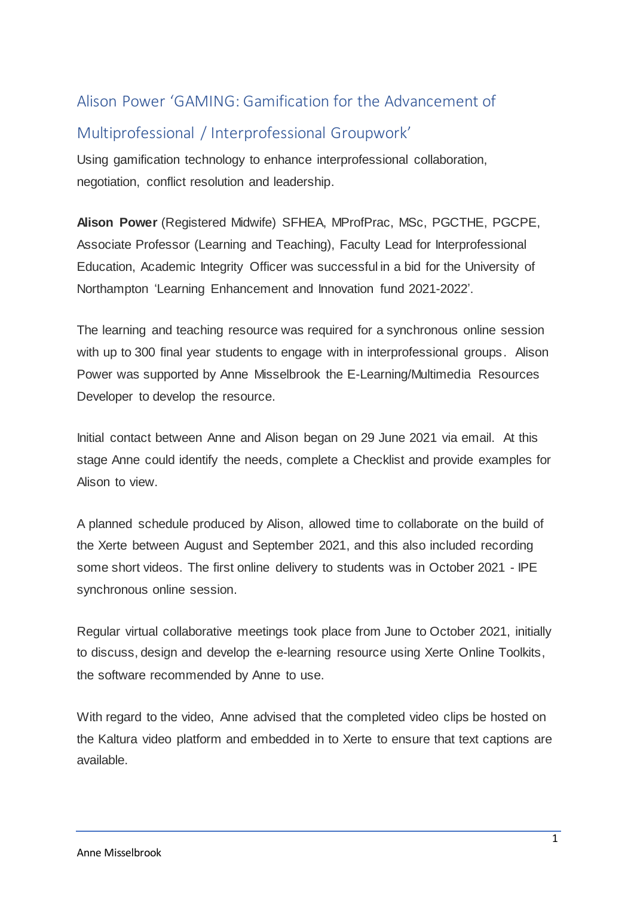# Alison Power 'GAMING: Gamification for the Advancement of

# Multiprofessional / Interprofessional Groupwork'

Using gamification technology to enhance interprofessional collaboration, negotiation, conflict resolution and leadership.

**Alison Power** (Registered Midwife) SFHEA, MProfPrac, MSc, PGCTHE, PGCPE, Associate Professor (Learning and Teaching), Faculty Lead for Interprofessional Education, Academic Integrity Officer was successful in a bid for the University of Northampton 'Learning Enhancement and Innovation fund 2021-2022'.

The learning and teaching resource was required for a synchronous online session with up to 300 final year students to engage with in interprofessional groups. Alison Power was supported by Anne Misselbrook the E-Learning/Multimedia Resources Developer to develop the resource.

Initial contact between Anne and Alison began on 29 June 2021 via email. At this stage Anne could identify the needs, complete a Checklist and provide examples for Alison to view.

A planned schedule produced by Alison, allowed time to collaborate on the build of the Xerte between August and September 2021, and this also included recording some short videos. The first online delivery to students was in October 2021 - IPE synchronous online session.

Regular virtual collaborative meetings took place from June to October 2021, initially to discuss, design and develop the e-learning resource using Xerte Online Toolkits, the software recommended by Anne to use.

With regard to the video, Anne advised that the completed video clips be hosted on the Kaltura video platform and embedded in to Xerte to ensure that text captions are available.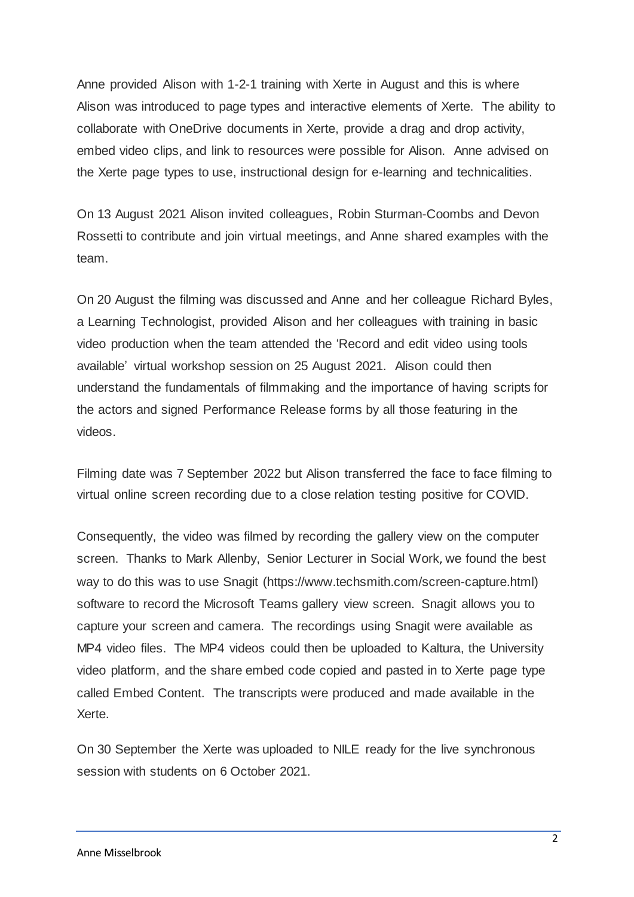Anne provided Alison with 1-2-1 training with Xerte in August and this is where Alison was introduced to page types and interactive elements of Xerte. The ability to collaborate with OneDrive documents in Xerte, provide a drag and drop activity, embed video clips, and link to resources were possible for Alison. Anne advised on the Xerte page types to use, instructional design for e-learning and technicalities.

On 13 August 2021 Alison invited colleagues, Robin Sturman-Coombs and Devon Rossetti to contribute and join virtual meetings, and Anne shared examples with the team.

On 20 August the filming was discussed and Anne and her colleague Richard Byles, a Learning Technologist, provided Alison and her colleagues with training in basic video production when the team attended the 'Record and edit video using tools available' virtual workshop session on 25 August 2021. Alison could then understand the fundamentals of filmmaking and the importance of having scripts for the actors and signed Performance Release forms by all those featuring in the videos.

Filming date was 7 September 2022 but Alison transferred the face to face filming to virtual online screen recording due to a close relation testing positive for COVID.

Consequently, the video was filmed by recording the gallery view on the computer screen. Thanks to Mark Allenby, Senior Lecturer in Social Work, we found the best way to do this was to use Snagit (https://www.techsmith.com/screen-capture.html) software to record the Microsoft Teams gallery view screen. Snagit allows you to capture your screen and camera. The recordings using Snagit were available as MP4 video files. The MP4 videos could then be uploaded to Kaltura, the University video platform, and the share embed code copied and pasted in to Xerte page type called Embed Content. The transcripts were produced and made available in the Xerte.

On 30 September the Xerte was uploaded to NILE ready for the live synchronous session with students on 6 October 2021.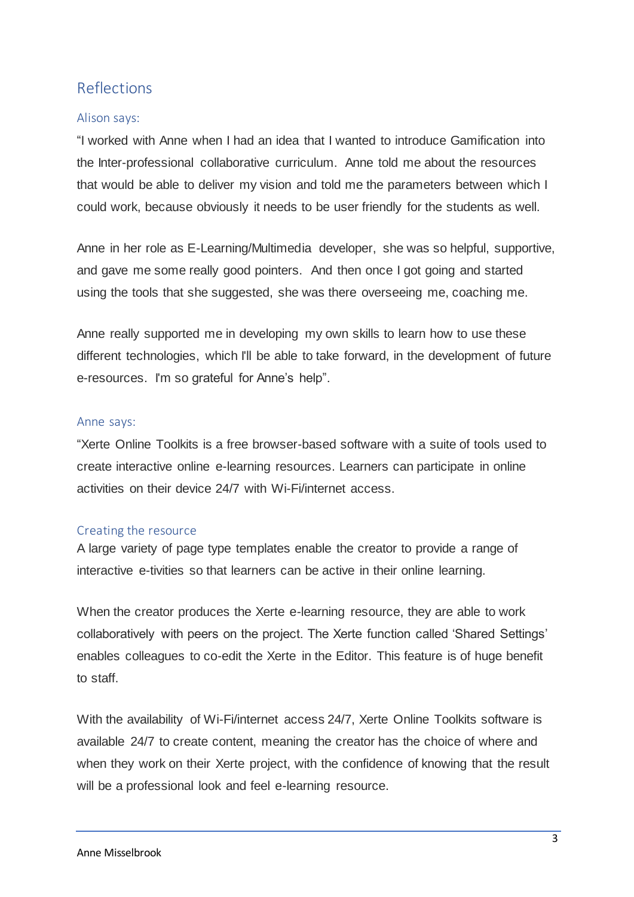## Reflections

#### Alison says:

"I worked with Anne when I had an idea that I wanted to introduce Gamification into the Inter-professional collaborative curriculum. Anne told me about the resources that would be able to deliver my vision and told me the parameters between which I could work, because obviously it needs to be user friendly for the students as well.

Anne in her role as E-Learning/Multimedia developer, she was so helpful, supportive, and gave me some really good pointers. And then once I got going and started using the tools that she suggested, she was there overseeing me, coaching me.

Anne really supported me in developing my own skills to learn how to use these different technologies, which I'll be able to take forward, in the development of future e-resources. I'm so grateful for Anne's help".

#### Anne says:

"Xerte Online Toolkits is a free browser-based software with a suite of tools used to create interactive online e-learning resources. Learners can participate in online activities on their device 24/7 with Wi-Fi/internet access.

#### Creating the resource

A large variety of page type templates enable the creator to provide a range of interactive e-tivities so that learners can be active in their online learning.

When the creator produces the Xerte e-learning resource, they are able to work collaboratively with peers on the project. The Xerte function called 'Shared Settings' enables colleagues to co-edit the Xerte in the Editor. This feature is of huge benefit to staff.

With the availability of Wi-Fi/internet access 24/7, Xerte Online Toolkits software is available 24/7 to create content, meaning the creator has the choice of where and when they work on their Xerte project, with the confidence of knowing that the result will be a professional look and feel e-learning resource.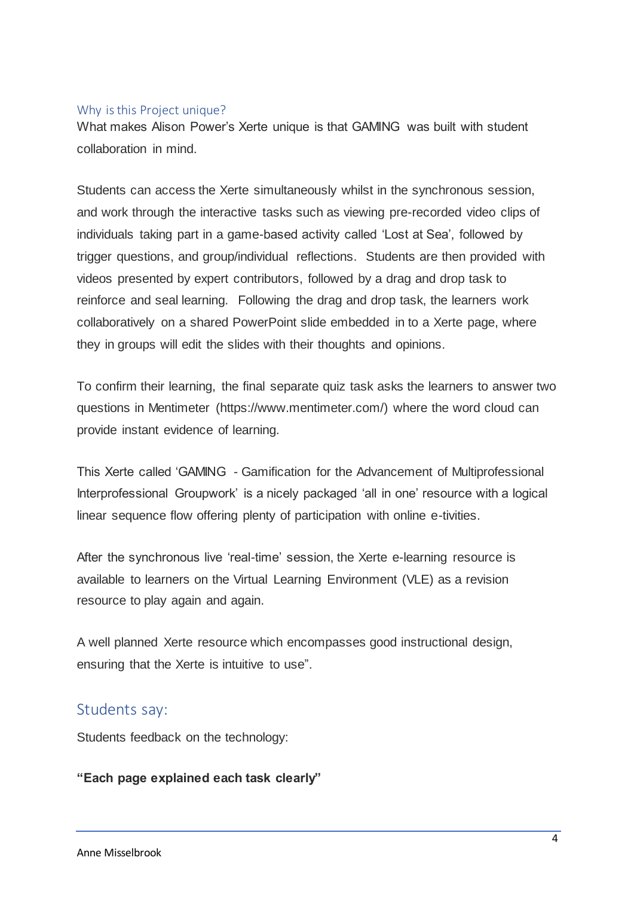#### Why is this Project unique?

What makes Alison Power's Xerte unique is that GAMING was built with student collaboration in mind.

Students can access the Xerte simultaneously whilst in the synchronous session, and work through the interactive tasks such as viewing pre-recorded video clips of individuals taking part in a game-based activity called 'Lost at Sea', followed by trigger questions, and group/individual reflections. Students are then provided with videos presented by expert contributors, followed by a drag and drop task to reinforce and seal learning. Following the drag and drop task, the learners work collaboratively on a shared PowerPoint slide embedded in to a Xerte page, where they in groups will edit the slides with their thoughts and opinions.

To confirm their learning, the final separate quiz task asks the learners to answer two questions in Mentimeter (https://www.mentimeter.com/) where the word cloud can provide instant evidence of learning.

This Xerte called 'GAMING - Gamification for the Advancement of Multiprofessional Interprofessional Groupwork' is a nicely packaged 'all in one' resource with a logical linear sequence flow offering plenty of participation with online e-tivities.

After the synchronous live 'real-time' session, the Xerte e-learning resource is available to learners on the Virtual Learning Environment (VLE) as a revision resource to play again and again.

A well planned Xerte resource which encompasses good instructional design, ensuring that the Xerte is intuitive to use".

## Students say:

Students feedback on the technology:

#### **"Each page explained each task clearly"**